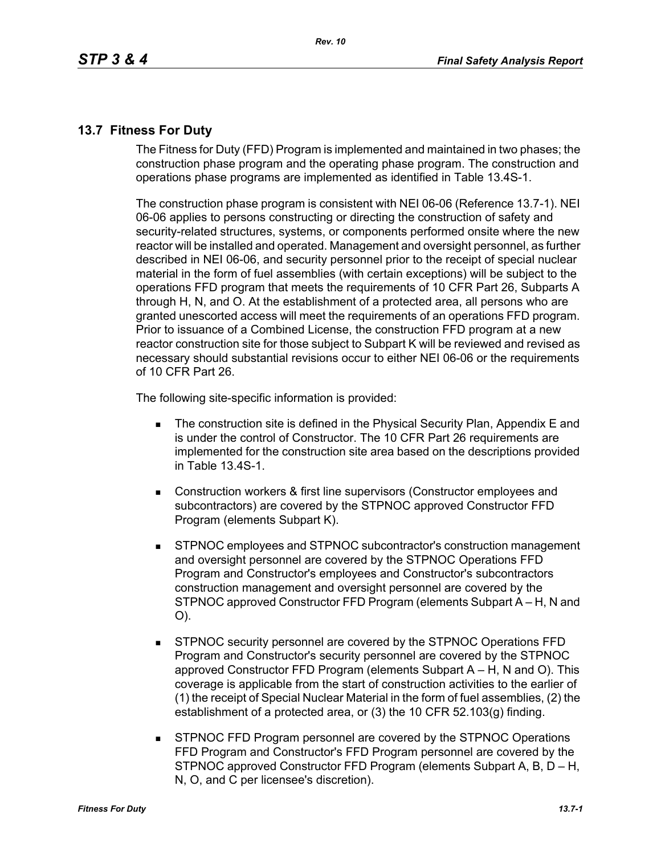## **13.7 Fitness For Duty**

The Fitness for Duty (FFD) Program is implemented and maintained in two phases; the construction phase program and the operating phase program. The construction and operations phase programs are implemented as identified in Table 13.4S-1.

The construction phase program is consistent with NEI 06-06 (Reference 13.7-1). NEI 06-06 applies to persons constructing or directing the construction of safety and security-related structures, systems, or components performed onsite where the new reactor will be installed and operated. Management and oversight personnel, as further described in NEI 06-06, and security personnel prior to the receipt of special nuclear material in the form of fuel assemblies (with certain exceptions) will be subject to the operations FFD program that meets the requirements of 10 CFR Part 26, Subparts A through H, N, and O. At the establishment of a protected area, all persons who are granted unescorted access will meet the requirements of an operations FFD program. Prior to issuance of a Combined License, the construction FFD program at a new reactor construction site for those subject to Subpart K will be reviewed and revised as necessary should substantial revisions occur to either NEI 06-06 or the requirements of 10 CFR Part 26.

The following site-specific information is provided:

- **The construction site is defined in the Physical Security Plan, Appendix E and** is under the control of Constructor. The 10 CFR Part 26 requirements are implemented for the construction site area based on the descriptions provided in Table 13.4S-1.
- Construction workers & first line supervisors (Constructor employees and subcontractors) are covered by the STPNOC approved Constructor FFD Program (elements Subpart K).
- STPNOC employees and STPNOC subcontractor's construction management and oversight personnel are covered by the STPNOC Operations FFD Program and Constructor's employees and Constructor's subcontractors construction management and oversight personnel are covered by the STPNOC approved Constructor FFD Program (elements Subpart A – H, N and O).
- STPNOC security personnel are covered by the STPNOC Operations FFD Program and Constructor's security personnel are covered by the STPNOC approved Constructor FFD Program (elements Subpart A – H, N and O). This coverage is applicable from the start of construction activities to the earlier of (1) the receipt of Special Nuclear Material in the form of fuel assemblies, (2) the establishment of a protected area, or (3) the 10 CFR 52.103(g) finding.
- STPNOC FFD Program personnel are covered by the STPNOC Operations FFD Program and Constructor's FFD Program personnel are covered by the STPNOC approved Constructor FFD Program (elements Subpart A, B, D – H, N, O, and C per licensee's discretion).